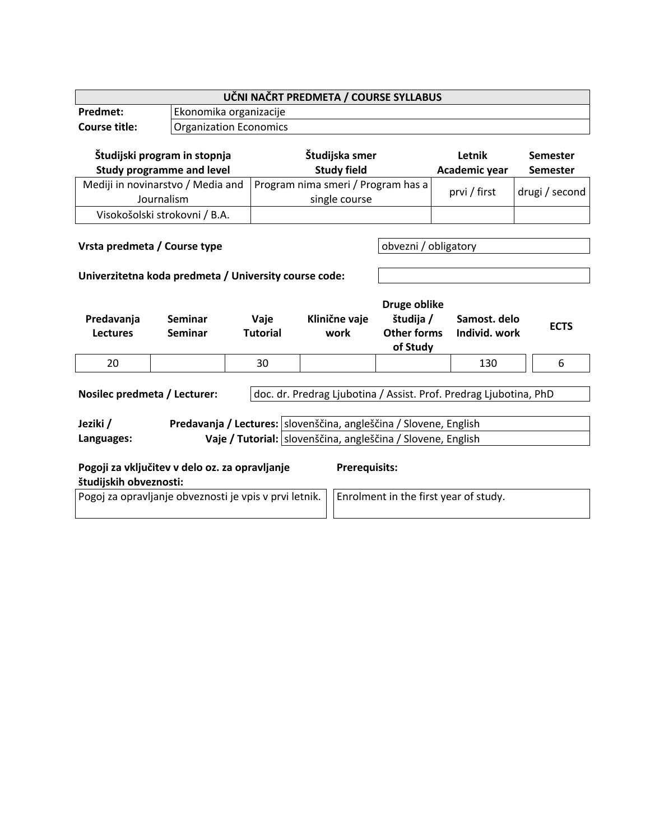| UČNI NAČRT PREDMETA / COURSE SYLLABUS                                                             |                                  |                                                     |  |                                                                                      |                      |                                  |                               |  |             |
|---------------------------------------------------------------------------------------------------|----------------------------------|-----------------------------------------------------|--|--------------------------------------------------------------------------------------|----------------------|----------------------------------|-------------------------------|--|-------------|
| Predmet:                                                                                          |                                  | Ekonomika organizacije                              |  |                                                                                      |                      |                                  |                               |  |             |
| <b>Course title:</b>                                                                              |                                  | <b>Organization Economics</b>                       |  |                                                                                      |                      |                                  |                               |  |             |
| Študijski program in stopnja                                                                      |                                  | Študijska smer                                      |  |                                                                                      |                      | Letnik<br>Semester               |                               |  |             |
| <b>Study programme and level</b>                                                                  |                                  | <b>Study field</b>                                  |  |                                                                                      |                      | Academic year<br><b>Semester</b> |                               |  |             |
| Mediji in novinarstvo / Media and<br>Journalism                                                   |                                  | Program nima smeri / Program has a<br>single course |  |                                                                                      |                      | prvi / first                     | drugi / second                |  |             |
|                                                                                                   | Visokošolski strokovni / B.A.    |                                                     |  |                                                                                      |                      |                                  |                               |  |             |
| Vrsta predmeta / Course type                                                                      |                                  |                                                     |  |                                                                                      | obvezni / obligatory |                                  |                               |  |             |
| Univerzitetna koda predmeta / University course code:                                             |                                  |                                                     |  |                                                                                      |                      |                                  |                               |  |             |
| Predavanja<br><b>Lectures</b>                                                                     | <b>Seminar</b><br><b>Seminar</b> | Vaje<br><b>Tutorial</b>                             |  | Druge oblike<br>študija /<br>Klinične vaje<br><b>Other forms</b><br>work<br>of Study |                      |                                  | Samost, delo<br>Individ. work |  | <b>ECTS</b> |
| 20                                                                                                |                                  | 30                                                  |  |                                                                                      |                      |                                  | 130                           |  | 6           |
| Nosilec predmeta / Lecturer:<br>doc. dr. Predrag Ljubotina / Assist. Prof. Predrag Ljubotina, PhD |                                  |                                                     |  |                                                                                      |                      |                                  |                               |  |             |
| Predavanja / Lectures:   slovenščina, angleščina / Slovene, English<br>Jeziki /                   |                                  |                                                     |  |                                                                                      |                      |                                  |                               |  |             |
| Vaje / Tutorial: slovenščina, angleščina / Slovene, English<br>Languages:                         |                                  |                                                     |  |                                                                                      |                      |                                  |                               |  |             |
| Pogoji za vključitev v delo oz. za opravljanje<br><b>Prerequisits:</b><br>študijskih obveznosti:  |                                  |                                                     |  |                                                                                      |                      |                                  |                               |  |             |
| Pogoj za opravljanje obveznosti je vpis v prvi letnik.<br>Enrolment in the first year of study.   |                                  |                                                     |  |                                                                                      |                      |                                  |                               |  |             |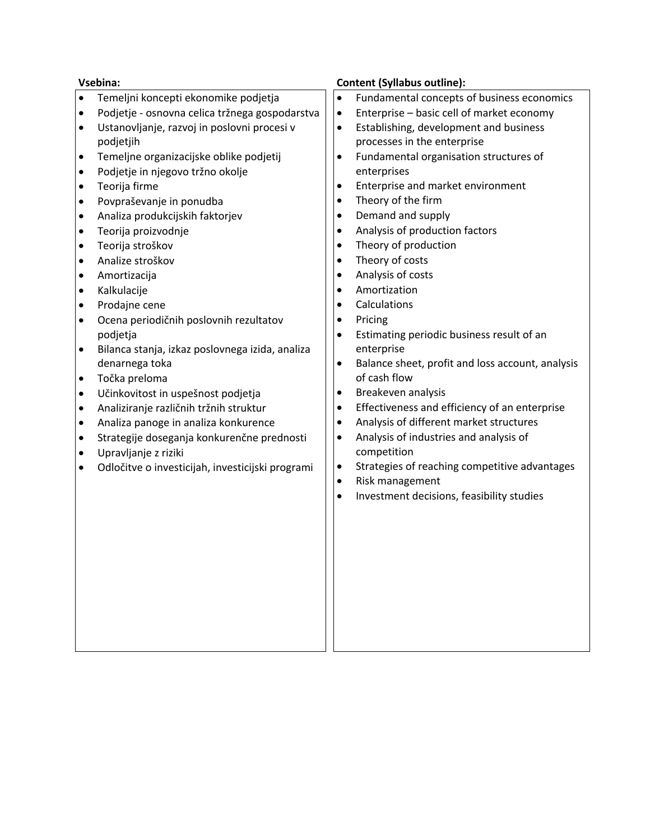|           | Vsebina:                                         |           | <b>Content (Syllabus outline):</b>               |
|-----------|--------------------------------------------------|-----------|--------------------------------------------------|
| $\bullet$ | Temeljni koncepti ekonomike podjetja             | $\bullet$ | Fundamental concepts of business economics       |
| $\bullet$ | Podjetje - osnovna celica tržnega gospodarstva   | $\bullet$ | Enterprise - basic cell of market economy        |
| $\bullet$ | Ustanovljanje, razvoj in poslovni procesi v      | $\bullet$ | Establishing, development and business           |
|           | podjetjih                                        |           | processes in the enterprise                      |
| $\bullet$ | Temeljne organizacijske oblike podjetij          | $\bullet$ | Fundamental organisation structures of           |
| $\bullet$ | Podjetje in njegovo tržno okolje                 |           | enterprises                                      |
| $\bullet$ | Teorija firme                                    | $\bullet$ | Enterprise and market environment                |
| $\bullet$ | Povpraševanje in ponudba                         | $\bullet$ | Theory of the firm                               |
| $\bullet$ | Analiza produkcijskih faktorjev                  | $\bullet$ | Demand and supply                                |
| $\bullet$ | Teorija proizvodnje                              | $\bullet$ | Analysis of production factors                   |
| $\bullet$ | Teorija stroškov                                 | $\bullet$ | Theory of production                             |
| $\bullet$ | Analize stroškov                                 | $\bullet$ | Theory of costs                                  |
| $\bullet$ | Amortizacija                                     | $\bullet$ | Analysis of costs                                |
| $\bullet$ | Kalkulacije                                      | $\bullet$ | Amortization                                     |
| $\bullet$ | Prodajne cene                                    | $\bullet$ | Calculations                                     |
| $\bullet$ | Ocena periodičnih poslovnih rezultatov           | $\bullet$ | Pricing                                          |
|           | podjetja                                         | $\bullet$ | Estimating periodic business result of an        |
| $\bullet$ | Bilanca stanja, izkaz poslovnega izida, analiza  |           | enterprise                                       |
|           | denarnega toka                                   | $\bullet$ | Balance sheet, profit and loss account, analysis |
| $\bullet$ | Točka preloma                                    |           | of cash flow                                     |
| ٠         | Učinkovitost in uspešnost podjetja               | $\bullet$ | Breakeven analysis                               |
| $\bullet$ | Analiziranje različnih tržnih struktur           | $\bullet$ | Effectiveness and efficiency of an enterprise    |
| $\bullet$ | Analiza panoge in analiza konkurence             | $\bullet$ | Analysis of different market structures          |
| $\bullet$ | Strategije doseganja konkurenčne prednosti       | $\bullet$ | Analysis of industries and analysis of           |
| $\bullet$ | Upravljanje z riziki                             |           | competition                                      |
| $\bullet$ | Odločitve o investicijah, investicijski programi | $\bullet$ | Strategies of reaching competitive advantages    |
|           |                                                  | $\bullet$ | Risk management                                  |
|           |                                                  | $\bullet$ | Investment decisions, feasibility studies        |
|           |                                                  |           |                                                  |
|           |                                                  |           |                                                  |
|           |                                                  |           |                                                  |
|           |                                                  |           |                                                  |
|           |                                                  |           |                                                  |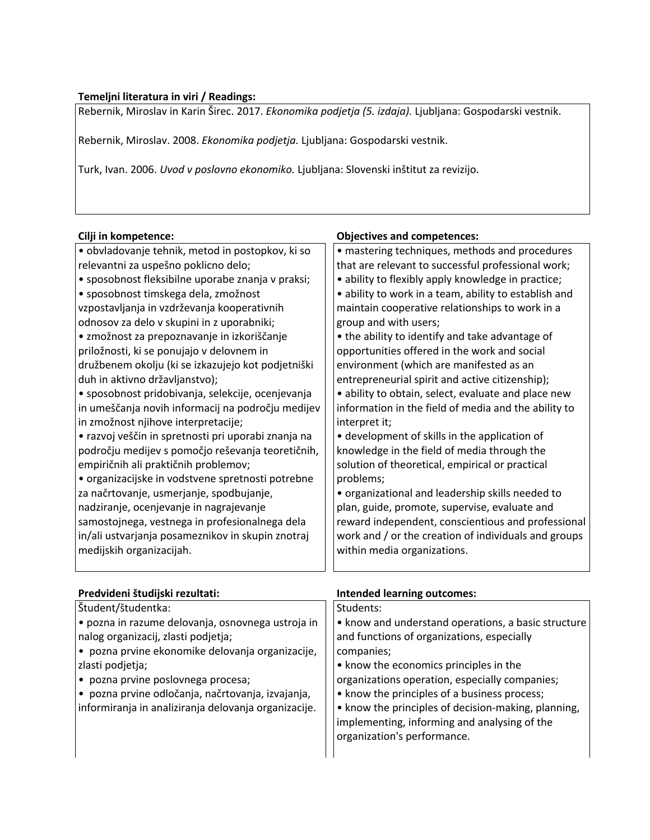## **Temeljni literatura in viri / Readings:**

Rebernik, Miroslav in Karin Širec. 2017. *Ekonomika podjetja (5. izdaja).* Ljubljana: Gospodarski vestnik.

Rebernik, Miroslav. 2008. *Ekonomika podjetja.* Ljubljana: Gospodarski vestnik.

Turk, Ivan. 2006. *Uvod v poslovno ekonomiko.* Ljubljana: Slovenski inštitut za revizijo.

| Cilji in kompetence:                                    | <b>Objectives and competences:</b>                    |
|---------------------------------------------------------|-------------------------------------------------------|
| · obvladovanje tehnik, metod in postopkov, ki so        | · mastering techniques, methods and procedures        |
| relevantni za uspešno poklicno delo;                    | that are relevant to successful professional work;    |
| · sposobnost fleksibilne uporabe znanja v praksi;       | · ability to flexibly apply knowledge in practice;    |
| · sposobnost timskega dela, zmožnost                    | · ability to work in a team, ability to establish and |
| vzpostavljanja in vzdrževanja kooperativnih             | maintain cooperative relationships to work in a       |
| odnosov za delo v skupini in z uporabniki;              | group and with users;                                 |
| • zmožnost za prepoznavanje in izkoriščanje             | • the ability to identify and take advantage of       |
| priložnosti, ki se ponujajo v delovnem in               | opportunities offered in the work and social          |
| družbenem okolju (ki se izkazujejo kot podjetniški      | environment (which are manifested as an               |
| duh in aktivno državljanstvo);                          | entrepreneurial spirit and active citizenship);       |
| · sposobnost pridobivanja, selekcije, ocenjevanja       | · ability to obtain, select, evaluate and place new   |
| in umeščanja novih informacij na področju medijev       | information in the field of media and the ability to  |
| in zmožnost njihove interpretacije;                     | interpret it;                                         |
| • razvoj veščin in spretnosti pri uporabi znanja na     | • development of skills in the application of         |
| področju medijev s pomočjo reševanja teoretičnih,       | knowledge in the field of media through the           |
| empiričnih ali praktičnih problemov;                    | solution of theoretical, empirical or practical       |
| · organizacijske in vodstvene spretnosti potrebne       | problems;                                             |
| za načrtovanje, usmerjanje, spodbujanje,                | · organizational and leadership skills needed to      |
| nadziranje, ocenjevanje in nagrajevanje                 | plan, guide, promote, supervise, evaluate and         |
| samostojnega, vestnega in profesionalnega dela          | reward independent, conscientious and professional    |
| in/ali ustvarjanja posameznikov in skupin znotraj       | work and / or the creation of individuals and groups  |
| medijskih organizacijah.                                | within media organizations.                           |
|                                                         |                                                       |
|                                                         |                                                       |
| Predvideni študijski rezultati:                         | <b>Intended learning outcomes:</b>                    |
| Študent/študentka:                                      | Students:                                             |
| · pozna in razume delovanja, osnovnega ustroja in       | • know and understand operations, a basic structure   |
| nalog organizacij, zlasti podjetja;                     | and functions of organizations, especially            |
| $\bullet$ nozna prvine ekonomike delovanja organizacije | comnanies:                                            |

• pozna prvine ekonomike delovanja organizacije, zlasti podjetja;

- pozna prvine poslovnega procesa;
- pozna prvine odločanja, načrtovanja, izvajanja, informiranja in analiziranja delovanja organizacije.

## companies; • know the economics principles in the

- organizations operation, especially companies;
- know the principles of a business process;

• know the principles of decision-making, planning, implementing, informing and analysing of the organization's performance.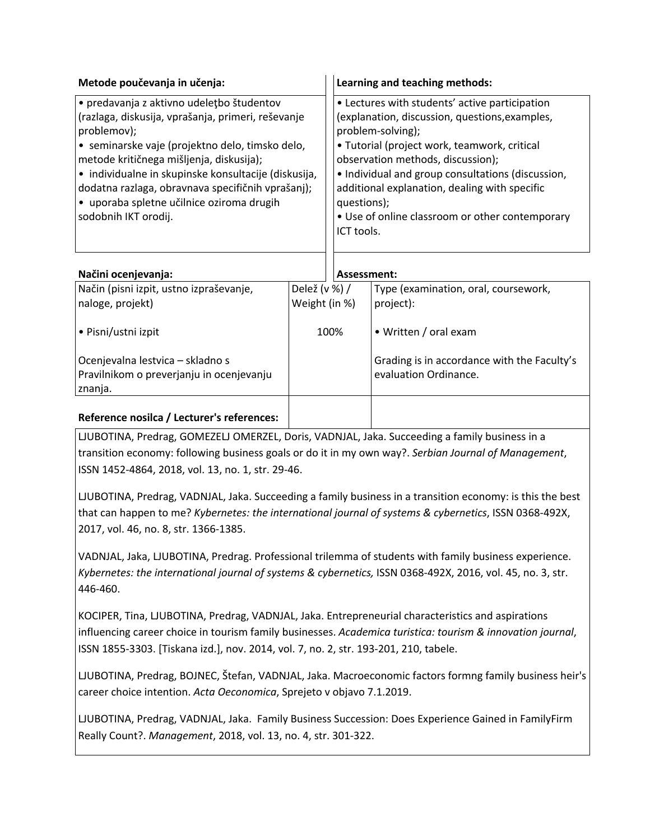| Metode poučevanja in učenja:                                                                                                                                                                                                                                                                                                                                                                            | Learning and teaching methods:                                                                                                                                                                                                                                                                                                                                                                   |
|---------------------------------------------------------------------------------------------------------------------------------------------------------------------------------------------------------------------------------------------------------------------------------------------------------------------------------------------------------------------------------------------------------|--------------------------------------------------------------------------------------------------------------------------------------------------------------------------------------------------------------------------------------------------------------------------------------------------------------------------------------------------------------------------------------------------|
| • predavanja z aktivno udeletbo študentov<br>(razlaga, diskusija, vprašanja, primeri, reševanje<br>problemov);<br>$\bullet$ seminarske vaje (projektno delo, timsko delo,<br>metode kritičnega mišljenja, diskusija);<br>• individualne in skupinske konsultacije (diskusija,<br>dodatna razlaga, obravnava specifičnih vprašanj);<br>• uporaba spletne učilnice oziroma drugih<br>sodobnih IKT orodij. | • Lectures with students' active participation<br>(explanation, discussion, questions, examples,<br>problem-solving);<br>• Tutorial (project work, teamwork, critical<br>observation methods, discussion);<br>• Individual and group consultations (discussion,<br>additional explanation, dealing with specific<br>questions);<br>• Use of online classroom or other contemporary<br>ICT tools. |
| Načini ocenjevanja:                                                                                                                                                                                                                                                                                                                                                                                     | Assessment:                                                                                                                                                                                                                                                                                                                                                                                      |
| Način (pisni izpit, ustno izpraševanje,                                                                                                                                                                                                                                                                                                                                                                 | Delež (v %) /<br>Type (examination, oral, coursework,                                                                                                                                                                                                                                                                                                                                            |

| Način (pisni izpit, ustno izpraševanje,<br>naloge, projekt)                             | Delež (v %) /<br>Weight (in %) | Type (examination, oral, coursework,<br>project):                    |
|-----------------------------------------------------------------------------------------|--------------------------------|----------------------------------------------------------------------|
| • Pisni/ustni izpit                                                                     | 100%                           | • Written / oral exam                                                |
| Ocenjevalna lestvica - skladno s<br>Pravilnikom o preverjanju in ocenjevanju<br>znanja. |                                | Grading is in accordance with the Faculty's<br>evaluation Ordinance. |
|                                                                                         |                                |                                                                      |

## **Reference nosilca / Lecturer's references:**

LJUBOTINA, Predrag, GOMEZELJ OMERZEL, Doris, VADNJAL, Jaka. Succeeding a family business in a transition economy: following business goals or do it in my own way?. *Serbian Journal of Management*, ISSN 1452-4864, 2018, vol. 13, no. 1, str. 29-46.

LJUBOTINA, Predrag, VADNJAL, Jaka. Succeeding a family business in a transition economy: is this the best that can happen to me? *Kybernetes: the international journal of systems & cybernetics*, ISSN 0368-492X, 2017, vol. 46, no. 8, str. 1366-1385.

VADNJAL, Jaka, LJUBOTINA, Predrag. Professional trilemma of students with family business experience. *Kybernetes: the international journal of systems & cybernetics,* ISSN 0368-492X, 2016, vol. 45, no. 3, str. 446-460.

KOCIPER, Tina, LJUBOTINA, Predrag, VADNJAL, Jaka. Entrepreneurial characteristics and aspirations influencing career choice in tourism family businesses. *Academica turistica: tourism & innovation journal*, ISSN 1855-3303. [Tiskana izd.], nov. 2014, vol. 7, no. 2, str. 193-201, 210, tabele.

LJUBOTINA, Predrag, BOJNEC, Štefan, VADNJAL, Jaka. Macroeconomic factors formng family business heir's career choice intention. *Acta Oeconomica*, Sprejeto v objavo 7.1.2019.

LJUBOTINA, Predrag, VADNJAL, Jaka. Family Business Succession: Does Experience Gained in FamilyFirm Really Count?. *Management*, 2018, vol. 13, no. 4, str. 301-322.